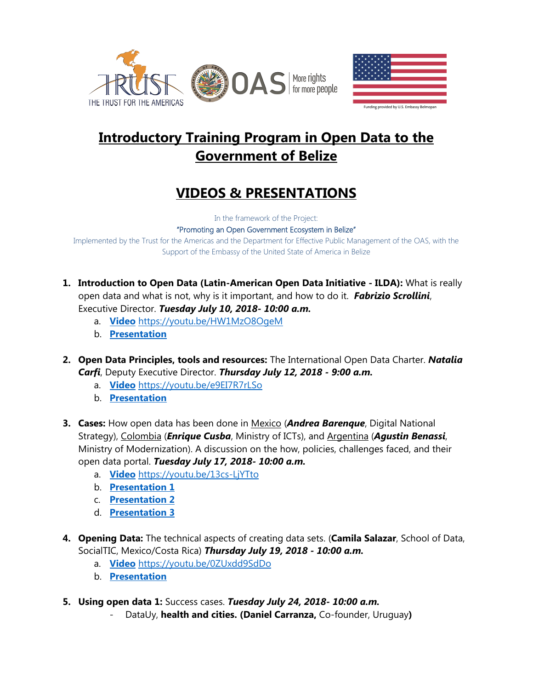



# **Introductory Training Program in Open Data to the Government of Belize**

# **VIDEOS & PRESENTATIONS**

In the framework of the Project:

"Promoting an Open Government Ecosystem in Belize"

Implemented by the Trust for the Americas and the Department for Effective Public Management of the OAS, with the Support of the Embassy of the United State of America in Belize

- **1. Introduction to Open Data (Latin-American Open Data Initiative - ILDA):** What is really open data and what is not, why is it important, and how to do it. *Fabrizio Scrollini*, Executive Director. *Tuesday July 10, 2018- 10:00 a.m.*
	- a. **[Video](https://youtu.be/HW1MzO8OgeM)** <https://youtu.be/HW1MzO8OgeM>
	- b. **[Presentation](http://portal.oas.org/LinkClick.aspx?fileticket=HFHGkDh51Ts%3d&tabid=1814)**
- **2. Open Data Principles, tools and resources:** The International Open Data Charter. *Natalia Carfi*, Deputy Executive Director. *Thursday July 12, 2018 - 9:00 a.m.*
	- a. **[Video](https://youtu.be/e9EI7R7rLSo)** <https://youtu.be/e9EI7R7rLSo>
	- b. **[Presentation](http://portal.oas.org/LinkClick.aspx?fileticket=pWslCKQpgjw%3d&tabid=1814)**
- **3. Cases:** How open data has been done in Mexico (*Andrea Barenque*, Digital National Strategy), Colombia (*Enrique Cusba*, Ministry of ICTs), and Argentina (*Agustin Benassi*, Ministry of Modernization). A discussion on the how, policies, challenges faced, and their open data portal. *Tuesday July 17, 2018- 10:00 a.m.*
	- a. **[Video](https://youtu.be/13cs-LjYTto)** <https://youtu.be/13cs-LjYTto>
	- b. **[Presentation 1](http://portal.oas.org/LinkClick.aspx?fileticket=ngy3ikPYmCc%3d&tabid=1814)**
	- c. **[Presentation 2](http://portal.oas.org/LinkClick.aspx?fileticket=h2fMeC0nSUo%3d&tabid=1814)**
	- d. **[Presentation 3](http://portal.oas.org/LinkClick.aspx?fileticket=eCKnWTKU5y0%3d&tabid=1814)**
- **4. Opening Data:** The technical aspects of creating data sets. (**Camila Salazar**, School of Data, SocialTIC, Mexico/Costa Rica) *Thursday July 19, 2018 - 10:00 a.m.*
	- a. **[Video](https://youtu.be/0ZUxdd9SdDo)** <https://youtu.be/0ZUxdd9SdDo>
	- b. **[Presentation](http://portal.oas.org/LinkClick.aspx?fileticket=Xw8KoTOfKNE%3d&tabid=1814)**
- **5. Using open data 1:** Success cases. *Tuesday July 24, 2018- 10:00 a.m.*
	- DataUy, **health and cities. (Daniel Carranza,** Co-founder, Uruguay**)**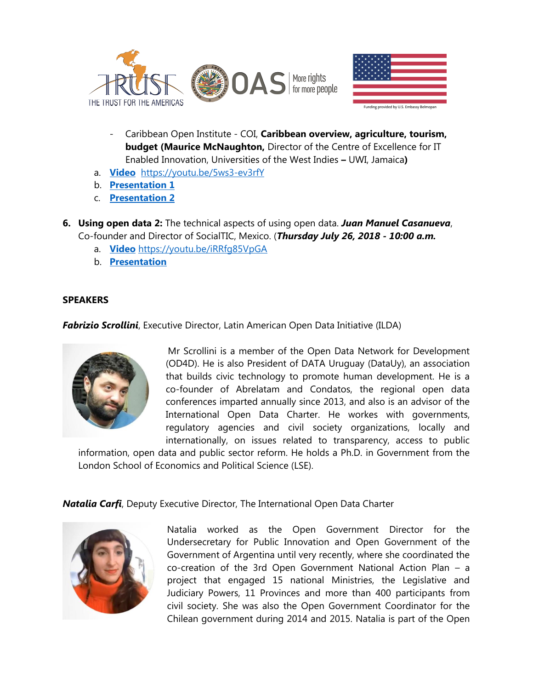



- Caribbean Open Institute COI, **Caribbean overview, agriculture, tourism, budget (Maurice McNaughton,** Director of the Centre of Excellence for IT Enabled Innovation, Universities of the West Indies **–** UWI, Jamaica**)**
- a. **[Video](https://youtu.be/5ws3-ev3rfY)** <https://youtu.be/5ws3-ev3rfY>
- b. **[Presentation](http://portal.oas.org/LinkClick.aspx?fileticket=NGzlHAvT5qI%3d&tabid=1814) 1**
- c. **[Presentation 2](http://portal.oas.org/LinkClick.aspx?fileticket=Lm-cT_LAagE%3d&tabid=1814)**
- **6. Using open data 2:** The technical aspects of using open data. *Juan Manuel Casanueva*, Co-founder and Director of SocialTIC, Mexico. (*Thursday July 26, 2018 - 10:00 a.m.*
	- a. **[Video](https://youtu.be/iRRfg85VpGA)** <https://youtu.be/iRRfg85VpGA>
	- b. **[Presentation](http://portal.oas.org/LinkClick.aspx?fileticket=gHSMmuzHc04%3d&tabid=1814)**

#### **SPEAKERS**

*Fabrizio Scrollini*, Executive Director, Latin American Open Data Initiative (ILDA)



Mr Scrollini is a member of the Open Data Network for Development (OD4D). He is also President of DATA Uruguay (DataUy), an association that builds civic technology to promote human development. He is a co-founder of Abrelatam and Condatos, the regional open data conferences imparted annually since 2013, and also is an advisor of the International Open Data Charter. He workes with governments, regulatory agencies and civil society organizations, locally and internationally, on issues related to transparency, access to public

information, open data and public sector reform. He holds a Ph.D. in Government from the London School of Economics and Political Science (LSE).

## *Natalia Carfi*, Deputy Executive Director, The International Open Data Charter



Natalia worked as the Open Government Director for the Undersecretary for Public Innovation and Open Government of the Government of Argentina until very recently, where she coordinated the co-creation of the 3rd Open Government National Action Plan – a project that engaged 15 national Ministries, the Legislative and Judiciary Powers, 11 Provinces and more than 400 participants from civil society. She was also the Open Government Coordinator for the Chilean government during 2014 and 2015. Natalia is part of the Open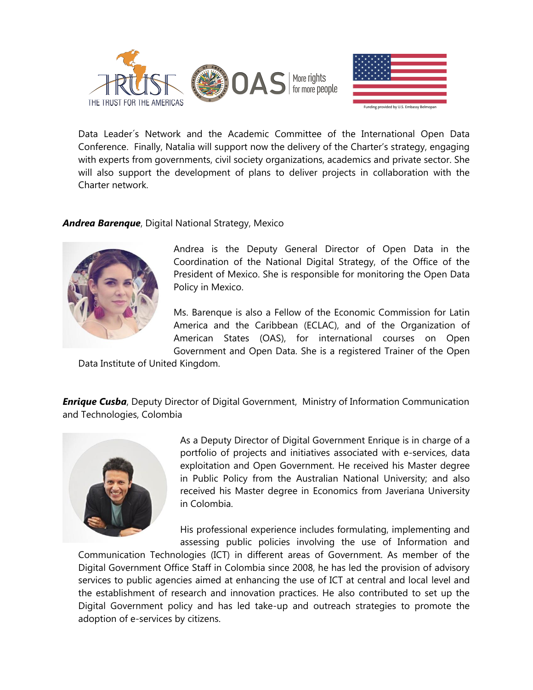



Data Leader´s Network and the Academic Committee of the International Open Data Conference. Finally, Natalia will support now the delivery of the Charter's strategy, engaging with experts from governments, civil society organizations, academics and private sector. She will also support the development of plans to deliver projects in collaboration with the Charter network.

## *Andrea Barenque*, Digital National Strategy, Mexico



Andrea is the Deputy General Director of Open Data in the Coordination of the National Digital Strategy, of the Office of the President of Mexico. She is responsible for monitoring the Open Data Policy in Mexico.

Ms. Barenque is also a Fellow of the Economic Commission for Latin America and the Caribbean (ECLAC), and of the Organization of American States (OAS), for international courses on Open Government and Open Data. She is a registered Trainer of the Open

Data Institute of United Kingdom.

**Enrique Cusba**, Deputy Director of Digital Government, Ministry of Information Communication and Technologies, Colombia



As a Deputy Director of Digital Government Enrique is in charge of a portfolio of projects and initiatives associated with e-services, data exploitation and Open Government. He received his Master degree in Public Policy from the Australian National University; and also received his Master degree in Economics from Javeriana University in Colombia.

His professional experience includes formulating, implementing and assessing public policies involving the use of Information and

Communication Technologies (ICT) in different areas of Government. As member of the Digital Government Office Staff in Colombia since 2008, he has led the provision of advisory services to public agencies aimed at enhancing the use of ICT at central and local level and the establishment of research and innovation practices. He also contributed to set up the Digital Government policy and has led take-up and outreach strategies to promote the adoption of e-services by citizens.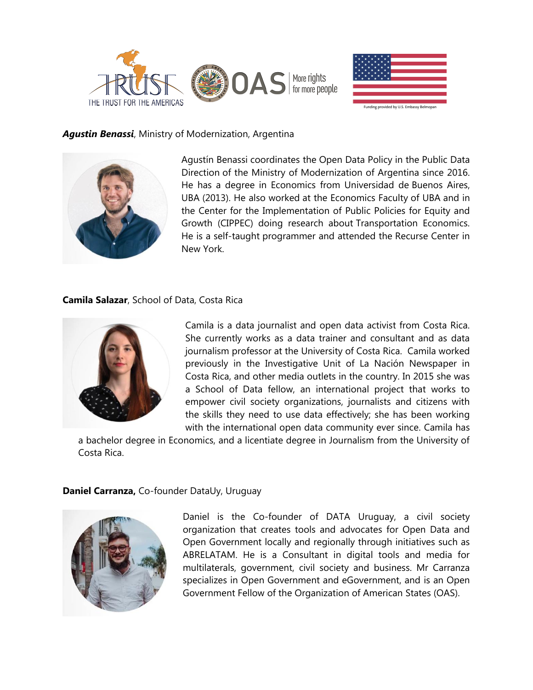



### *Agustin Benassi*, Ministry of Modernization, Argentina



Agustín Benassi coordinates the Open Data Policy in the Public Data Direction of the Ministry of Modernization of Argentina since 2016. He has a degree in Economics from Universidad de Buenos Aires, UBA (2013). He also worked at the Economics Faculty of UBA and in the Center for the Implementation of Public Policies for Equity and Growth (CIPPEC) doing research about Transportation Economics. He is a self-taught programmer and attended the Recurse Center in New York.

#### **Camila Salazar**, School of Data, Costa Rica



Camila is a data journalist and open data activist from Costa Rica. She currently works as a data trainer and consultant and as data journalism professor at the University of Costa Rica. Camila worked previously in the Investigative Unit of La Nación Newspaper in Costa Rica, and other media outlets in the country. In 2015 she was a School of Data fellow, an international project that works to empower civil society organizations, journalists and citizens with the skills they need to use data effectively; she has been working with the international open data community ever since. Camila has

a bachelor degree in Economics, and a licentiate degree in Journalism from the University of Costa Rica.

#### **Daniel Carranza,** Co-founder DataUy, Uruguay



Daniel is the Co-founder of DATA Uruguay, a civil society organization that creates tools and advocates for Open Data and Open Government locally and regionally through initiatives such as ABRELATAM. He is a Consultant in digital tools and media for multilaterals, government, civil society and business. Mr Carranza specializes in Open Government and eGovernment, and is an Open Government Fellow of the Organization of American States (OAS).